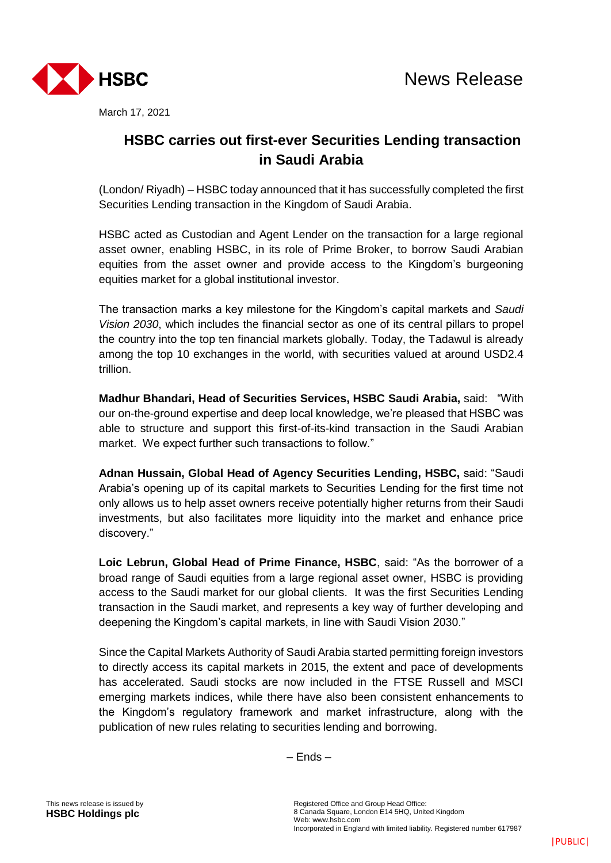

March 17, 2021

## **HSBC carries out first-ever Securities Lending transaction in Saudi Arabia**

(London/ Riyadh) – HSBC today announced that it has successfully completed the first Securities Lending transaction in the Kingdom of Saudi Arabia.

HSBC acted as Custodian and Agent Lender on the transaction for a large regional asset owner, enabling HSBC, in its role of Prime Broker, to borrow Saudi Arabian equities from the asset owner and provide access to the Kingdom's burgeoning equities market for a global institutional investor.

The transaction marks a key milestone for the Kingdom's capital markets and *Saudi Vision 2030*, which includes the financial sector as one of its central pillars to propel the country into the top ten financial markets globally. Today, the Tadawul is already among the top 10 exchanges in the world, with securities valued at around USD2.4 trillion.

**Madhur Bhandari, Head of Securities Services, HSBC Saudi Arabia,** said: "With our on-the-ground expertise and deep local knowledge, we're pleased that HSBC was able to structure and support this first-of-its-kind transaction in the Saudi Arabian market. We expect further such transactions to follow."

**Adnan Hussain, Global Head of Agency Securities Lending, HSBC,** said: "Saudi Arabia's opening up of its capital markets to Securities Lending for the first time not only allows us to help asset owners receive potentially higher returns from their Saudi investments, but also facilitates more liquidity into the market and enhance price discovery."

**Loic Lebrun, Global Head of Prime Finance, HSBC**, said: "As the borrower of a broad range of Saudi equities from a large regional asset owner, HSBC is providing access to the Saudi market for our global clients. It was the first Securities Lending transaction in the Saudi market, and represents a key way of further developing and deepening the Kingdom's capital markets, in line with Saudi Vision 2030."

Since the Capital Markets Authority of Saudi Arabia started permitting foreign investors to directly access its capital markets in 2015, the extent and pace of developments has accelerated. Saudi stocks are now included in the FTSE Russell and MSCI emerging markets indices, while there have also been consistent enhancements to the Kingdom's regulatory framework and market infrastructure, along with the publication of new rules relating to securities lending and borrowing.

– Ends –